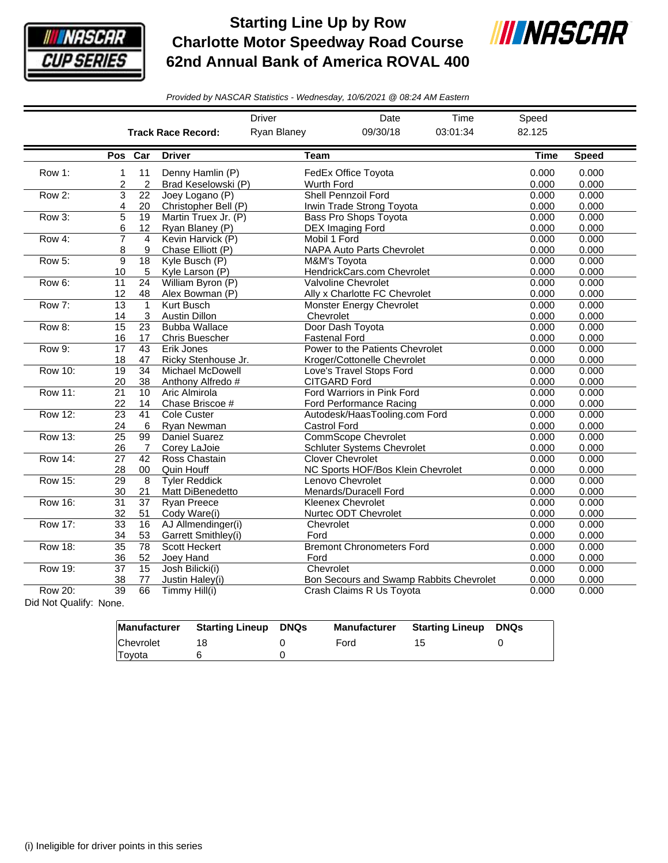

## **Starting Line Up by Row Charlotte Motor Speedway Road Course 62nd Annual Bank of America ROVAL 400**



*Provided by NASCAR Statistics - Wednesday, 10/6/2021 @ 08:24 AM Eastern*

|                                                                                                                                                   |                             |                       |                                               | <b>Driver</b>           | Date                                                                                   | Time     | Speed          |                |
|---------------------------------------------------------------------------------------------------------------------------------------------------|-----------------------------|-----------------------|-----------------------------------------------|-------------------------|----------------------------------------------------------------------------------------|----------|----------------|----------------|
|                                                                                                                                                   |                             |                       | <b>Track Race Record:</b>                     | Ryan Blaney<br>09/30/18 |                                                                                        | 03:01:34 | 82.125         |                |
|                                                                                                                                                   |                             | Pos Car               | <b>Driver</b>                                 | <b>Team</b>             |                                                                                        |          | <b>Time</b>    | <b>Speed</b>   |
| Row 1:                                                                                                                                            | 1<br>2                      | 11<br>$\overline{c}$  | Denny Hamlin (P)<br>Brad Keselowski (P)       | Wurth Ford              | FedEx Office Toyota                                                                    |          | 0.000<br>0.000 | 0.000<br>0.000 |
| Row 2:                                                                                                                                            | 3<br>4                      | 22<br>20              | Joey Logano (P)<br>Christopher Bell (P)       |                         | Shell Pennzoil Ford<br>Irwin Trade Strong Toyota                                       |          | 0.000<br>0.000 | 0.000<br>0.000 |
| Row 3:                                                                                                                                            | $\overline{5}$<br>6         | $\overline{19}$<br>12 | Martin Truex Jr. (P)<br>Ryan Blaney (P)       |                         | <b>Bass Pro Shops Toyota</b><br><b>DEX Imaging Ford</b>                                |          | 0.000<br>0.000 | 0.000<br>0.000 |
| Row 4:                                                                                                                                            | $\overline{7}$<br>8         | $\overline{4}$<br>9   | Kevin Harvick (P)<br>Chase Elliott (P)        |                         | Mobil 1 Ford<br><b>NAPA Auto Parts Chevrolet</b>                                       |          | 0.000<br>0.000 | 0.000<br>0.000 |
| Row 5:                                                                                                                                            | 9<br>10                     | 18<br>5               | Kyle Busch (P)<br>Kyle Larson (P)             |                         | M&M's Toyota<br>HendrickCars.com Chevrolet                                             |          | 0.000<br>0.000 | 0.000<br>0.000 |
| Row 6:                                                                                                                                            | 11<br>12                    | 24<br>48              | William Byron (P)<br>Alex Bowman (P)          |                         | Valvoline Chevrolet<br>Ally x Charlotte FC Chevrolet                                   |          | 0.000<br>0.000 | 0.000<br>0.000 |
| Row 7:                                                                                                                                            | $\overline{13}$<br>14       | $\mathbf{1}$<br>3     | Kurt Busch<br><b>Austin Dillon</b>            | Chevrolet               | <b>Monster Energy Chevrolet</b>                                                        |          | 0.000<br>0.000 | 0.000<br>0.000 |
| Row 8:                                                                                                                                            | $\overline{15}$<br>16       | 23<br>17              | <b>Bubba Wallace</b><br><b>Chris Buescher</b> |                         | Door Dash Toyota<br><b>Fastenal Ford</b>                                               |          | 0.000<br>0.000 | 0.000<br>0.000 |
| Row 9:                                                                                                                                            | $\overline{17}$<br>18       | $\overline{43}$<br>47 | Erik Jones<br>Ricky Stenhouse Jr.             |                         | Power to the Patients Chevrolet<br>Kroger/Cottonelle Chevrolet                         |          | 0.000<br>0.000 | 0.000<br>0.000 |
| <b>Row 10:</b>                                                                                                                                    | 19<br>20                    | 34<br>38              | Michael McDowell<br>Anthony Alfredo #         |                         | Love's Travel Stops Ford<br><b>CITGARD Ford</b>                                        |          | 0.000<br>0.000 | 0.000<br>0.000 |
| Row 11:                                                                                                                                           | 21<br>22                    | 10<br>14              | Aric Almirola<br>Chase Briscoe #              |                         | Ford Warriors in Pink Ford                                                             |          | 0.000<br>0.000 | 0.000<br>0.000 |
| <b>Row 12:</b>                                                                                                                                    | 23                          | 41<br>6               | Cole Custer                                   |                         | <b>Ford Performance Racing</b><br>Autodesk/HaasTooling.com Ford<br><b>Castrol Ford</b> |          | 0.000<br>0.000 | 0.000<br>0.000 |
| <b>Row 13:</b>                                                                                                                                    | 24<br>$\overline{25}$<br>26 | 99<br>7               | Ryan Newman<br>Daniel Suarez<br>Corey LaJoie  |                         | <b>CommScope Chevrolet</b><br><b>Schluter Systems Chevrolet</b>                        |          | 0.000<br>0.000 | 0.000<br>0.000 |
| <b>Row 14:</b>                                                                                                                                    | 27<br>28                    | 42<br>00              | Ross Chastain<br>Quin Houff                   |                         | <b>Clover Chevrolet</b><br>NC Sports HOF/Bos Klein Chevrolet                           |          | 0.000<br>0.000 | 0.000<br>0.000 |
| <b>Row 15:</b>                                                                                                                                    | 29<br>30                    | 8<br>21               | <b>Tyler Reddick</b><br>Matt DiBenedetto      |                         | Lenovo Chevrolet<br>Menards/Duracell Ford                                              |          | 0.000<br>0.000 | 0.000<br>0.000 |
| <b>Row 16:</b>                                                                                                                                    | 31<br>32                    | 37<br>51              | Ryan Preece<br>Cody Ware(i)                   |                         | <b>Kleenex Chevrolet</b><br>Nurtec ODT Chevrolet                                       |          | 0.000<br>0.000 | 0.000<br>0.000 |
| Row 17:                                                                                                                                           | $\overline{33}$<br>34       | 16<br>53              | AJ Allmendinger(i)<br>Garrett Smithley(i)     | Chevrolet<br>Ford       |                                                                                        |          | 0.000<br>0.000 | 0.000<br>0.000 |
| <b>Row 18:</b>                                                                                                                                    | $\overline{35}$<br>36       | 78<br>52              | <b>Scott Heckert</b><br>Joey Hand             | Ford                    | <b>Bremont Chronometers Ford</b>                                                       |          | 0.000<br>0.000 | 0.000<br>0.000 |
| <b>Row 19:</b>                                                                                                                                    | $\overline{37}$<br>38       | $\overline{15}$<br>77 | Josh Bilicki(i)<br>Justin Haley(i)            | Chevrolet               | Bon Secours and Swamp Rabbits Chevrolet                                                |          | 0.000<br>0.000 | 0.000<br>0.000 |
| Row 20:<br>$\mathbf{D}^{\text{t}}$ at $\mathbf{A}^{\text{t}}$ and $\mathbf{A}^{\text{t}}$ and $\mathbf{A}^{\text{t}}$ and $\mathbf{A}^{\text{t}}$ | 39                          | 66                    | Timmy Hill(i)                                 |                         | Crash Claims R Us Toyota                                                               |          | 0.000          | 0.000          |

Did Not Qualify: None.

|           | Manufacturer Starting Lineup DNQs | Manufacturer | Starting Lineup | <b>DNQs</b> |
|-----------|-----------------------------------|--------------|-----------------|-------------|
| Chevrolet |                                   | Ford         |                 |             |
| Toyota    |                                   |              |                 |             |